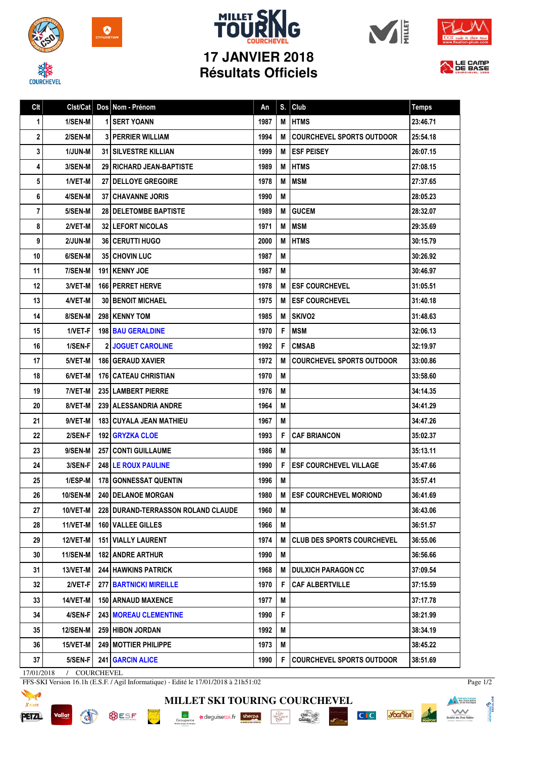

**COURCHEVEL** 



## **MILLET SKI 17 JANVIER 2018 Résultats Officiels**







| Clt            |                 | Clst/Cat   Dos   Nom - Prénom      | An   | S. | Club                              | <b>Temps</b> |
|----------------|-----------------|------------------------------------|------|----|-----------------------------------|--------------|
| 1              | 1/SEN-M         | 1 SERT YOANN                       | 1987 | M  | <b>HTMS</b>                       | 23:46.71     |
| 2              | 2/SEN-M         | <b>3 PERRIER WILLIAM</b>           | 1994 | м  | COURCHEVEL SPORTS OUTDOOR         | 25:54.18     |
| 3              | 1/JUN-M         | <b>31 SILVESTRE KILLIAN</b>        | 1999 | M  | <b>I ESF PEISEY</b>               | 26:07.15     |
| 4              | 3/SEN-M         | 29 RICHARD JEAN-BAPTISTE           | 1989 | M  | <b>HTMS</b>                       | 27:08.15     |
| 5              | 1/VET-M         | <b>27 I DELLOYE GREGOIRE</b>       | 1978 | M  | <b>MSM</b>                        | 27:37.65     |
| 6              | 4/SEN-M         | <b>37 CHAVANNE JORIS</b>           | 1990 | M  |                                   | 28:05.23     |
| $\overline{7}$ | 5/SEN-M         | <b>28 I DELETOMBE BAPTISTE</b>     | 1989 | M  | <b>GUCEM</b>                      | 28:32.07     |
| 8              | 2/VET-M         | <b>32 LEFORT NICOLAS</b>           | 1971 | M  | <b>MSM</b>                        | 29:35.69     |
| 9              | 2/JUN-M         | 36   CERUTTI HUGO                  | 2000 | M  | <b>HTMS</b>                       | 30:15.79     |
| 10             | 6/SEN-M         | 35 CHOVIN LUC                      | 1987 | M  |                                   | 30:26.92     |
| 11             | 7/SEN-M         | 191   KENNY JOE                    | 1987 | М  |                                   | 30:46.97     |
| 12             | 3/VET-M         | <b>166 PERRET HERVE</b>            | 1978 | М  | <b>I ESF COURCHEVEL</b>           | 31:05.51     |
| 13             | 4/VET-M         | <b>30 BENOIT MICHAEL</b>           | 1975 | M  | <b>ESF COURCHEVEL</b>             | 31:40.18     |
| 14             | 8/SEN-M         | 298 KENNY TOM                      | 1985 | M  | <b>SKIVO2</b>                     | 31:48.63     |
| 15             | 1/VET-F         | <b>198 BAU GERALDINE</b>           | 1970 | F  | <b>IMSM</b>                       | 32:06.13     |
| 16             | 1/SEN-F         | <b>2 JOGUET CAROLINE</b>           | 1992 | F  | <b>CMSAB</b>                      | 32:19.97     |
| 17             | 5/VET-M         | <b>186 GERAUD XAVIER</b>           | 1972 | M  | <b>COURCHEVEL SPORTS OUTDOOR</b>  | 33:00.86     |
| 18             | 6/VET-M         | <b>176   CATEAU CHRISTIAN</b>      | 1970 | M  |                                   | 33:58.60     |
| 19             | 7/VET-M         | <b>235 LAMBERT PIERRE</b>          | 1976 | M  |                                   | 34:14.35     |
| 20             | 8/VET-M         | 239 ALESSANDRIA ANDRE              | 1964 | M  |                                   | 34:41.29     |
| 21             | 9/VET-M         | <b>183   CUYALA JEAN MATHIEU</b>   | 1967 | M  |                                   | 34:47.26     |
| 22             | 2/SEN-F         | <b>192 GRYZKA CLOE</b>             | 1993 | F  | <b>CAF BRIANCON</b>               | 35:02.37     |
| 23             | 9/SEN-M         | <b>257 CONTI GUILLAUME</b>         | 1986 | M  |                                   | 35:13.11     |
| 24             | 3/SEN-F         | 248 LE ROUX PAULINE                | 1990 | F  | <b>ESF COURCHEVEL VILLAGE</b>     | 35:47.66     |
| 25             | 1/ESP-M         | 178 GONNESSAT QUENTIN              | 1996 | M  |                                   | 35:57.41     |
| 26             | 10/SEN-M        | <b>240 I DELANOE MORGAN</b>        | 1980 |    | <b>M LESF COURCHEVEL MORIOND</b>  | 36:41.69     |
| 27             | 10/VET-M        | 228 DURAND-TERRASSON ROLAND CLAUDE | 1960 | M  |                                   | 36:43.06     |
| 28             | <b>11/VET-M</b> | 160 VALLEE GILLES                  | 1966 | M  |                                   | 36:51.57     |
| 29             | <b>12/VET-M</b> | <b>151 VIALLY LAURENT</b>          | 1974 | М  | <b>CLUB DES SPORTS COURCHEVEL</b> | 36:55.06     |
| 30             | 11/SEN-M        | <b>182 ANDRE ARTHUR</b>            | 1990 | M  |                                   | 36:56.66     |
| 31             | 13/VET-M        | <b>244 HAWKINS PATRICK</b>         | 1968 | M  | <b>I DULXICH PARAGON CC</b>       | 37:09.54     |
| 32             | 2/VET-F         | <b>277   BARTNICKI MIREILLE</b>    | 1970 | F  | <b>CAF ALBERTVILLE</b>            | 37:15.59     |
| 33             | 14/VET-M        | <b>150 ARNAUD MAXENCE</b>          | 1977 | M  |                                   | 37:17.78     |
| 34             | 4/SEN-F         | <b>243 MOREAU CLEMENTINE</b>       | 1990 | F. |                                   | 38:21.99     |
| 35             | <b>12/SEN-M</b> | 259 HIBON JORDAN                   | 1992 | M  |                                   | 38:34.19     |
| 36             | 15/VET-M        | 249 MOTTIER PHILIPPE               | 1973 | M  |                                   | 38:45.22     |
| 37             | 5/SEN-F         | 241 GARCIN ALICE                   | 1990 | F. | <b>COURCHEVEL SPORTS OUTDOOR</b>  | 38:51.69     |

17/01/2018 / COURCHEVEL

FFS-SKI Version 16.1h (E.S.F. / Agil Informatique) - Edité le 17/01/2018 à 21h51:02



**Vallat BUSF PORT AND IN** 



 $\begin{array}{c}\n\hline\n\text{I}_{\text{A}}\text{J}_{\text{A}}\text{BU} \\
\text{M2} \text{CAVD} \\
\text{PERI}\n\end{array}$ 

C<sub>IC</sub> you'lea



Page 1/2